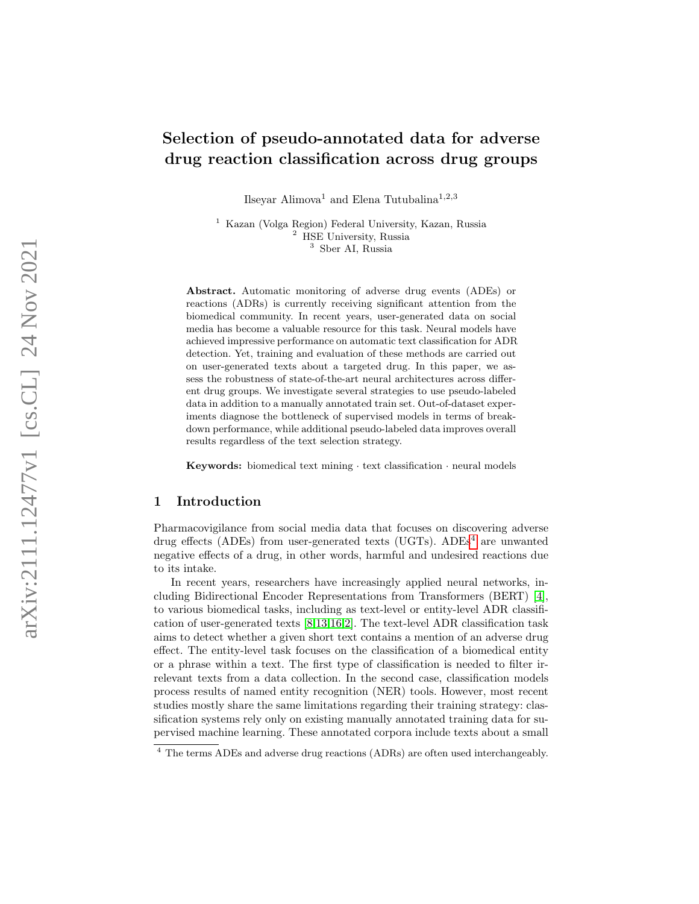# Selection of pseudo-annotated data for adverse drug reaction classification across drug groups

Ilseyar Alimova<sup>1</sup> and Elena Tutubalina<sup>1,2,3</sup>

<sup>1</sup> Kazan (Volga Region) Federal University, Kazan, Russia <sup>2</sup> HSE University, Russia <sup>3</sup> Sber AI, Russia

Abstract. Automatic monitoring of adverse drug events (ADEs) or reactions (ADRs) is currently receiving significant attention from the biomedical community. In recent years, user-generated data on social media has become a valuable resource for this task. Neural models have achieved impressive performance on automatic text classification for ADR detection. Yet, training and evaluation of these methods are carried out on user-generated texts about a targeted drug. In this paper, we assess the robustness of state-of-the-art neural architectures across different drug groups. We investigate several strategies to use pseudo-labeled data in addition to a manually annotated train set. Out-of-dataset experiments diagnose the bottleneck of supervised models in terms of breakdown performance, while additional pseudo-labeled data improves overall results regardless of the text selection strategy.

Keywords: biomedical text mining · text classification · neural models

# 1 Introduction

Pharmacovigilance from social media data that focuses on discovering adverse drug effects (ADEs) from user-generated texts (UGTs). ADEs [4](#page-0-0) are unwanted negative effects of a drug, in other words, harmful and undesired reactions due to its intake.

In recent years, researchers have increasingly applied neural networks, including Bidirectional Encoder Representations from Transformers (BERT) [\[4\]](#page-6-0), to various biomedical tasks, including as text-level or entity-level ADR classification of user-generated texts [\[8,](#page-6-1)[13,](#page-6-2)[16](#page-7-0)[,2\]](#page-6-3). The text-level ADR classification task aims to detect whether a given short text contains a mention of an adverse drug effect. The entity-level task focuses on the classification of a biomedical entity or a phrase within a text. The first type of classification is needed to filter irrelevant texts from a data collection. In the second case, classification models process results of named entity recognition (NER) tools. However, most recent studies mostly share the same limitations regarding their training strategy: classification systems rely only on existing manually annotated training data for supervised machine learning. These annotated corpora include texts about a small

<span id="page-0-0"></span><sup>&</sup>lt;sup>4</sup> The terms ADEs and adverse drug reactions (ADRs) are often used interchangeably.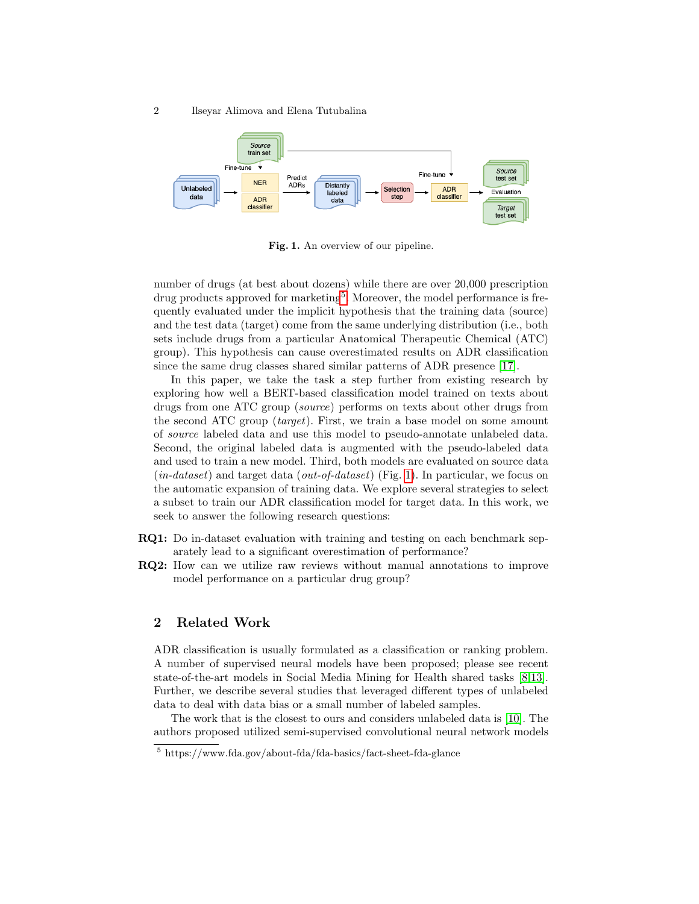2 Ilseyar Alimova and Elena Tutubalina



<span id="page-1-1"></span>Fig. 1. An overview of our pipeline.

number of drugs (at best about dozens) while there are over 20,000 prescription drug products approved for marketing<sup>[5](#page-1-0)</sup>. Moreover, the model performance is frequently evaluated under the implicit hypothesis that the training data (source) and the test data (target) come from the same underlying distribution (i.e., both sets include drugs from a particular Anatomical Therapeutic Chemical (ATC) group). This hypothesis can cause overestimated results on ADR classification since the same drug classes shared similar patterns of ADR presence [\[17\]](#page-7-1).

In this paper, we take the task a step further from existing research by exploring how well a BERT-based classification model trained on texts about drugs from one ATC group (source) performs on texts about other drugs from the second ATC group (target). First, we train a base model on some amount of source labeled data and use this model to pseudo-annotate unlabeled data. Second, the original labeled data is augmented with the pseudo-labeled data and used to train a new model. Third, both models are evaluated on source data  $(in-dataset)$  and target data  $(out-of-dataset)$  (Fig. [1\)](#page-1-1). In particular, we focus on the automatic expansion of training data. We explore several strategies to select a subset to train our ADR classification model for target data. In this work, we seek to answer the following research questions:

- RQ1: Do in-dataset evaluation with training and testing on each benchmark separately lead to a significant overestimation of performance?
- RQ2: How can we utilize raw reviews without manual annotations to improve model performance on a particular drug group?

# 2 Related Work

ADR classification is usually formulated as a classification or ranking problem. A number of supervised neural models have been proposed; please see recent state-of-the-art models in Social Media Mining for Health shared tasks [\[8,](#page-6-1)[13\]](#page-6-2). Further, we describe several studies that leveraged different types of unlabeled data to deal with data bias or a small number of labeled samples.

The work that is the closest to ours and considers unlabeled data is [\[10\]](#page-6-4). The authors proposed utilized semi-supervised convolutional neural network models

<span id="page-1-0"></span><sup>5</sup> https://www.fda.gov/about-fda/fda-basics/fact-sheet-fda-glance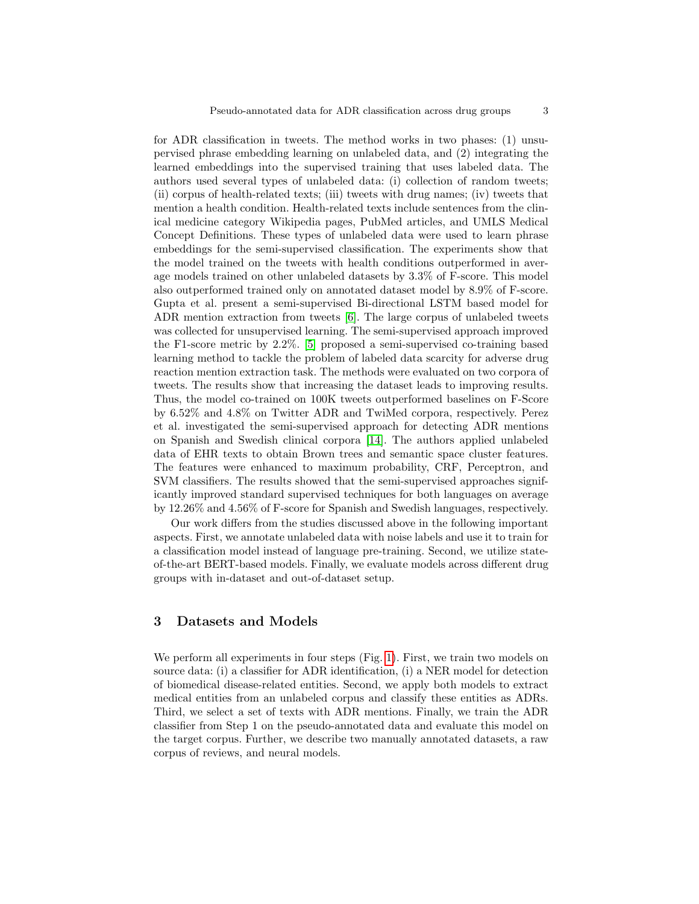for ADR classification in tweets. The method works in two phases: (1) unsupervised phrase embedding learning on unlabeled data, and (2) integrating the learned embeddings into the supervised training that uses labeled data. The authors used several types of unlabeled data: (i) collection of random tweets; (ii) corpus of health-related texts; (iii) tweets with drug names; (iv) tweets that mention a health condition. Health-related texts include sentences from the clinical medicine category Wikipedia pages, PubMed articles, and UMLS Medical Concept Definitions. These types of unlabeled data were used to learn phrase embeddings for the semi-supervised classification. The experiments show that the model trained on the tweets with health conditions outperformed in average models trained on other unlabeled datasets by 3.3% of F-score. This model also outperformed trained only on annotated dataset model by 8.9% of F-score. Gupta et al. present a semi-supervised Bi-directional LSTM based model for ADR mention extraction from tweets [\[6\]](#page-6-5). The large corpus of unlabeled tweets was collected for unsupervised learning. The semi-supervised approach improved the F1-score metric by 2.2%. [\[5\]](#page-6-6) proposed a semi-supervised co-training based learning method to tackle the problem of labeled data scarcity for adverse drug reaction mention extraction task. The methods were evaluated on two corpora of tweets. The results show that increasing the dataset leads to improving results. Thus, the model co-trained on 100K tweets outperformed baselines on F-Score by 6.52% and 4.8% on Twitter ADR and TwiMed corpora, respectively. Perez et al. investigated the semi-supervised approach for detecting ADR mentions on Spanish and Swedish clinical corpora [\[14\]](#page-7-2). The authors applied unlabeled data of EHR texts to obtain Brown trees and semantic space cluster features. The features were enhanced to maximum probability, CRF, Perceptron, and SVM classifiers. The results showed that the semi-supervised approaches significantly improved standard supervised techniques for both languages on average by 12.26% and 4.56% of F-score for Spanish and Swedish languages, respectively.

Our work differs from the studies discussed above in the following important aspects. First, we annotate unlabeled data with noise labels and use it to train for a classification model instead of language pre-training. Second, we utilize stateof-the-art BERT-based models. Finally, we evaluate models across different drug groups with in-dataset and out-of-dataset setup.

### 3 Datasets and Models

We perform all experiments in four steps (Fig. [1\)](#page-1-1). First, we train two models on source data: (i) a classifier for ADR identification, (i) a NER model for detection of biomedical disease-related entities. Second, we apply both models to extract medical entities from an unlabeled corpus and classify these entities as ADRs. Third, we select a set of texts with ADR mentions. Finally, we train the ADR classifier from Step 1 on the pseudo-annotated data and evaluate this model on the target corpus. Further, we describe two manually annotated datasets, a raw corpus of reviews, and neural models.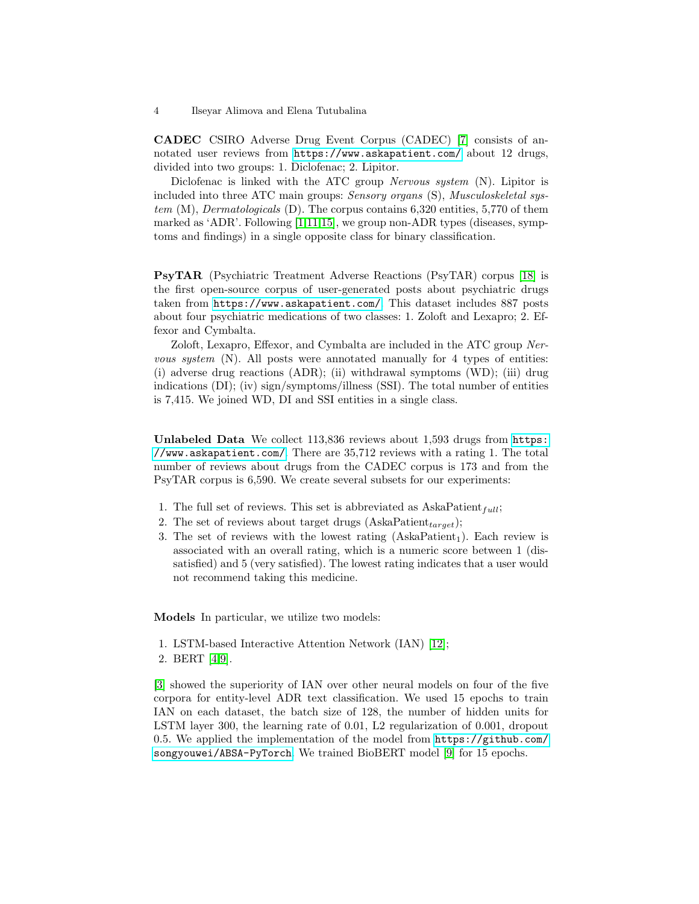CADEC CSIRO Adverse Drug Event Corpus (CADEC) [\[7\]](#page-6-7) consists of annotated user reviews from <https://www.askapatient.com/> about 12 drugs, divided into two groups: 1. Diclofenac; 2. Lipitor.

Diclofenac is linked with the ATC group Nervous system (N). Lipitor is included into three ATC main groups: *Sensory organs* (S), *Musculoskeletal sys*tem (M), Dermatologicals (D). The corpus contains 6,320 entities, 5,770 of them marked as 'ADR'. Following  $[1,11,15]$  $[1,11,15]$  $[1,11,15]$ , we group non-ADR types (diseases, symptoms and findings) in a single opposite class for binary classification.

PsyTAR (Psychiatric Treatment Adverse Reactions (PsyTAR) corpus [\[18\]](#page-7-4) is the first open-source corpus of user-generated posts about psychiatric drugs taken from <https://www.askapatient.com/>. This dataset includes 887 posts about four psychiatric medications of two classes: 1. Zoloft and Lexapro; 2. Effexor and Cymbalta.

Zoloft, Lexapro, Effexor, and Cymbalta are included in the ATC group Nervous system  $(N)$ . All posts were annotated manually for 4 types of entities: (i) adverse drug reactions (ADR); (ii) withdrawal symptoms (WD); (iii) drug indications (DI); (iv) sign/symptoms/illness (SSI). The total number of entities is 7,415. We joined WD, DI and SSI entities in a single class.

Unlabeled Data We collect 113,836 reviews about 1,593 drugs from [https:](https://www.askapatient.com/) [//www.askapatient.com/](https://www.askapatient.com/). There are 35,712 reviews with a rating 1. The total number of reviews about drugs from the CADEC corpus is 173 and from the PsyTAR corpus is 6,590. We create several subsets for our experiments:

- 1. The full set of reviews. This set is abbreviated as  $AskaPattern_t;$
- 2. The set of reviews about target drugs (AskaPatient $_{target}$ );
- 3. The set of reviews with the lowest rating  $(AskaPatient<sub>1</sub>)$ . Each review is associated with an overall rating, which is a numeric score between 1 (dissatisfied) and 5 (very satisfied). The lowest rating indicates that a user would not recommend taking this medicine.

Models In particular, we utilize two models:

- 1. LSTM-based Interactive Attention Network (IAN) [\[12\]](#page-6-10);
- 2. BERT [\[4](#page-6-0)[,9\]](#page-6-11).

[\[3\]](#page-6-12) showed the superiority of IAN over other neural models on four of the five corpora for entity-level ADR text classification. We used 15 epochs to train IAN on each dataset, the batch size of 128, the number of hidden units for LSTM layer 300, the learning rate of 0.01, L2 regularization of 0.001, dropout 0.5. We applied the implementation of the model from [https://github.com/](https://github.com/songyouwei/ABSA-PyTorch) [songyouwei/ABSA-PyTorch](https://github.com/songyouwei/ABSA-PyTorch). We trained BioBERT model [\[9\]](#page-6-11) for 15 epochs.

<sup>4</sup> Ilseyar Alimova and Elena Tutubalina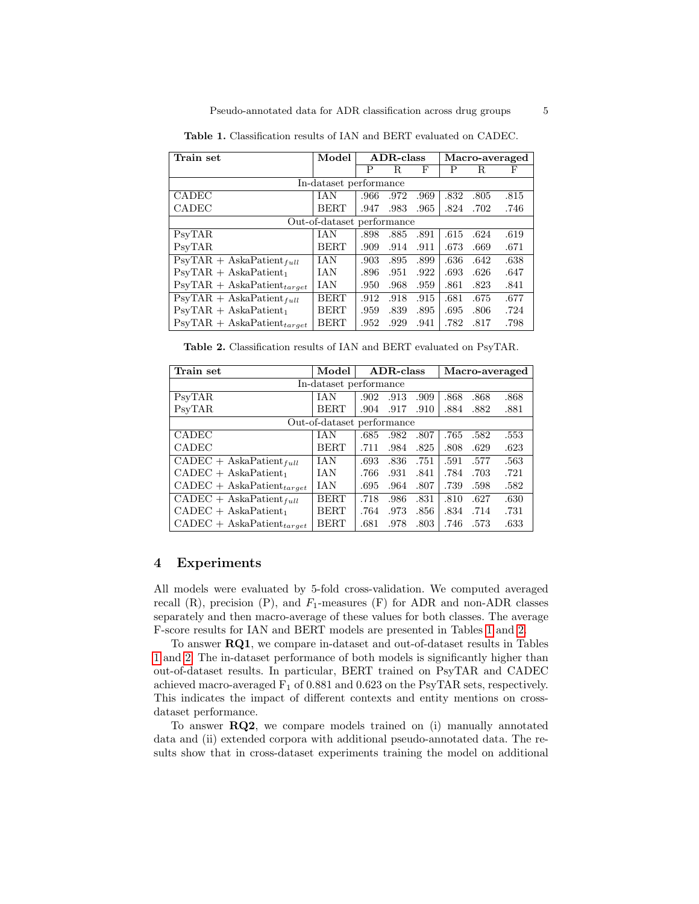| Train set                                           | Model       | ADR-class |      |      | Macro-averaged |      |      |  |  |  |  |  |
|-----------------------------------------------------|-------------|-----------|------|------|----------------|------|------|--|--|--|--|--|
|                                                     |             | Р         | R.   | F    | Р              | R    | F    |  |  |  |  |  |
| In-dataset performance                              |             |           |      |      |                |      |      |  |  |  |  |  |
| <b>CADEC</b>                                        | <b>IAN</b>  | .966      | .972 | .969 | .832           | .805 | .815 |  |  |  |  |  |
| CADEC                                               | <b>BERT</b> | .947      | .983 | .965 | .824           | .702 | .746 |  |  |  |  |  |
| Out-of-dataset performance                          |             |           |      |      |                |      |      |  |  |  |  |  |
| PsyTAR                                              | <b>IAN</b>  | .898      | .885 | .891 | .615           | .624 | .619 |  |  |  |  |  |
| PsyTAR                                              | <b>BERT</b> | .909      | .914 | .911 | .673           | .669 | .671 |  |  |  |  |  |
| $\text{PsyTAR} + \text{Aska} \text{Pattern}_{full}$ | IAN         | .903      | .895 | .899 | .636           | .642 | .638 |  |  |  |  |  |
| $PsvTAR + AskaPattern1$                             | <b>IAN</b>  | .896      | .951 | .922 | .693           | .626 | .647 |  |  |  |  |  |
| $PSYTAR + AskaPatterntarget$                        | <b>IAN</b>  | .950      | .968 | .959 | .861           | .823 | .841 |  |  |  |  |  |
| $\text{PsyTAR} + \text{Aska} \text{Pattern}_{full}$ | <b>BERT</b> | .912      | .918 | .915 | .681           | .675 | .677 |  |  |  |  |  |
| $PsvTAR + AskaPattern1$                             | <b>BERT</b> | .959      | .839 | .895 | .695           | .806 | .724 |  |  |  |  |  |
| $\text{PsyTAR} + \text{AskaPattern}_{target}$       | <b>BERT</b> | .952      | .929 | .941 | .782           | .817 | .798 |  |  |  |  |  |

<span id="page-4-0"></span>Table 1. Classification results of IAN and BERT evaluated on CADEC.

<span id="page-4-1"></span>Table 2. Classification results of IAN and BERT evaluated on PsyTAR.

| Train set                      | Model       | ADR-class |      |      | Macro-averaged |      |      |  |  |  |  |  |
|--------------------------------|-------------|-----------|------|------|----------------|------|------|--|--|--|--|--|
| In-dataset performance         |             |           |      |      |                |      |      |  |  |  |  |  |
| PsyTAR                         | <b>IAN</b>  | .902      | .913 | .909 | .868           | .868 | .868 |  |  |  |  |  |
| PsyTAR                         | <b>BERT</b> | .904      | .917 | .910 | .884           | .882 | .881 |  |  |  |  |  |
| Out-of-dataset performance     |             |           |      |      |                |      |      |  |  |  |  |  |
| <b>CADEC</b>                   | <b>IAN</b>  | .685      | .982 | .807 | .765           | .582 | .553 |  |  |  |  |  |
| <b>CADEC</b>                   | <b>BERT</b> | .711      | .984 | .825 | .808           | .629 | .623 |  |  |  |  |  |
| $CADEC + AskaPatternfull$      | <b>IAN</b>  | .693      | .836 | .751 | .591           | .577 | .563 |  |  |  |  |  |
| $CADEC + AskaPattern1$         | <b>IAN</b>  | .766      | .931 | .841 | .784           | .703 | .721 |  |  |  |  |  |
| $CADEC + AskaPattern_{target}$ | <b>IAN</b>  | .695      | .964 | .807 | .739           | .598 | .582 |  |  |  |  |  |
| $CADEC + AskaPatternfull$      | <b>BERT</b> | .718      | .986 | .831 | .810           | .627 | .630 |  |  |  |  |  |
| $CADEC + AskaPattern1$         | <b>BERT</b> | .764      | .973 | .856 | .834           | .714 | .731 |  |  |  |  |  |
| $CADEC + AskaPattern_{target}$ | <b>BERT</b> | .681      | .978 | .803 | .746           | .573 | .633 |  |  |  |  |  |

## 4 Experiments

All models were evaluated by 5-fold cross-validation. We computed averaged recall  $(R)$ , precision  $(P)$ , and  $F_1$ -measures  $(F)$  for ADR and non-ADR classes separately and then macro-average of these values for both classes. The average F-score results for IAN and BERT models are presented in Tables [1](#page-4-0) and [2.](#page-4-1)

To answer RQ1, we compare in-dataset and out-of-dataset results in Tables [1](#page-4-0) and [2.](#page-4-1) The in-dataset performance of both models is significantly higher than out-of-dataset results. In particular, BERT trained on PsyTAR and CADEC achieved macro-averaged  $F_1$  of 0.881 and 0.623 on the PsyTAR sets, respectively. This indicates the impact of different contexts and entity mentions on crossdataset performance.

To answer RQ2, we compare models trained on (i) manually annotated data and (ii) extended corpora with additional pseudo-annotated data. The results show that in cross-dataset experiments training the model on additional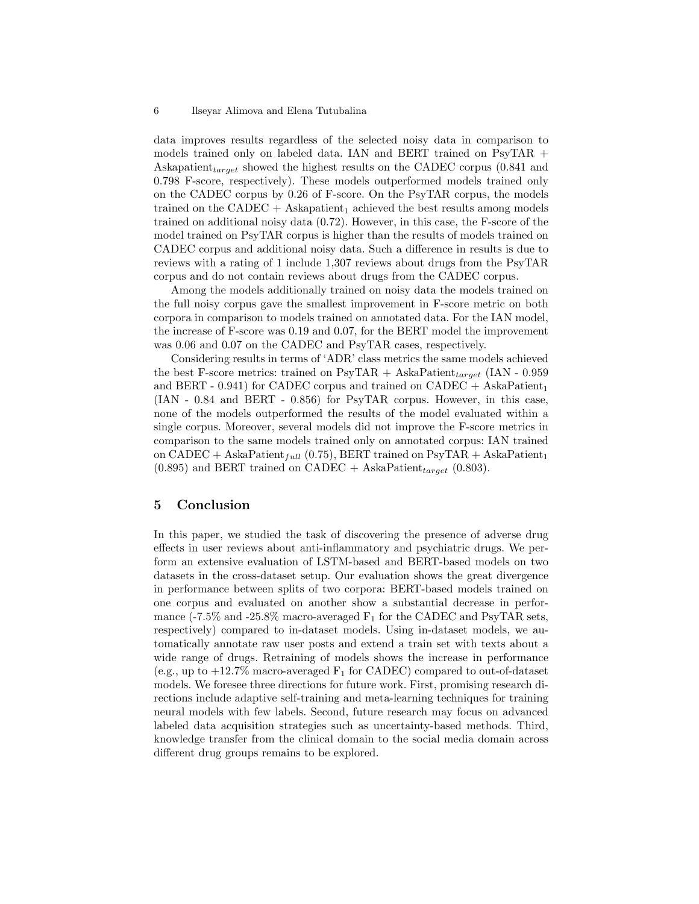#### 6 Ilseyar Alimova and Elena Tutubalina

data improves results regardless of the selected noisy data in comparison to models trained only on labeled data. IAN and BERT trained on PsyTAR + Askapatient<sub>target</sub> showed the highest results on the CADEC corpus  $(0.841$  and 0.798 F-score, respectively). These models outperformed models trained only on the CADEC corpus by 0.26 of F-score. On the PsyTAR corpus, the models trained on the CADEC + Askapatient<sub>1</sub> achieved the best results among models trained on additional noisy data (0.72). However, in this case, the F-score of the model trained on PsyTAR corpus is higher than the results of models trained on CADEC corpus and additional noisy data. Such a difference in results is due to reviews with a rating of 1 include 1,307 reviews about drugs from the PsyTAR corpus and do not contain reviews about drugs from the CADEC corpus.

Among the models additionally trained on noisy data the models trained on the full noisy corpus gave the smallest improvement in F-score metric on both corpora in comparison to models trained on annotated data. For the IAN model, the increase of F-score was 0.19 and 0.07, for the BERT model the improvement was 0.06 and 0.07 on the CADEC and PsyTAR cases, respectively.

Considering results in terms of 'ADR' class metrics the same models achieved the best F-score metrics: trained on PsyTAR + AskaPatient<sub>target</sub> (IAN - 0.959) and BERT - 0.941) for CADEC corpus and trained on CADEC + AskaPatient<sub>1</sub> (IAN - 0.84 and BERT - 0.856) for PsyTAR corpus. However, in this case, none of the models outperformed the results of the model evaluated within a single corpus. Moreover, several models did not improve the F-score metrics in comparison to the same models trained only on annotated corpus: IAN trained on CADEC + AskaPatient<sub>full</sub> (0.75), BERT trained on PsyTAR + AskaPatient<sub>1</sub>  $(0.895)$  and BERT trained on CADEC + AskaPatient<sub>target</sub>  $(0.803)$ .

#### 5 Conclusion

In this paper, we studied the task of discovering the presence of adverse drug effects in user reviews about anti-inflammatory and psychiatric drugs. We perform an extensive evaluation of LSTM-based and BERT-based models on two datasets in the cross-dataset setup. Our evaluation shows the great divergence in performance between splits of two corpora: BERT-based models trained on one corpus and evaluated on another show a substantial decrease in performance (-7.5% and -25.8% macro-averaged  $F_1$  for the CADEC and PsyTAR sets, respectively) compared to in-dataset models. Using in-dataset models, we automatically annotate raw user posts and extend a train set with texts about a wide range of drugs. Retraining of models shows the increase in performance (e.g., up to  $+12.7\%$  macro-averaged  $F_1$  for CADEC) compared to out-of-dataset models. We foresee three directions for future work. First, promising research directions include adaptive self-training and meta-learning techniques for training neural models with few labels. Second, future research may focus on advanced labeled data acquisition strategies such as uncertainty-based methods. Third, knowledge transfer from the clinical domain to the social media domain across different drug groups remains to be explored.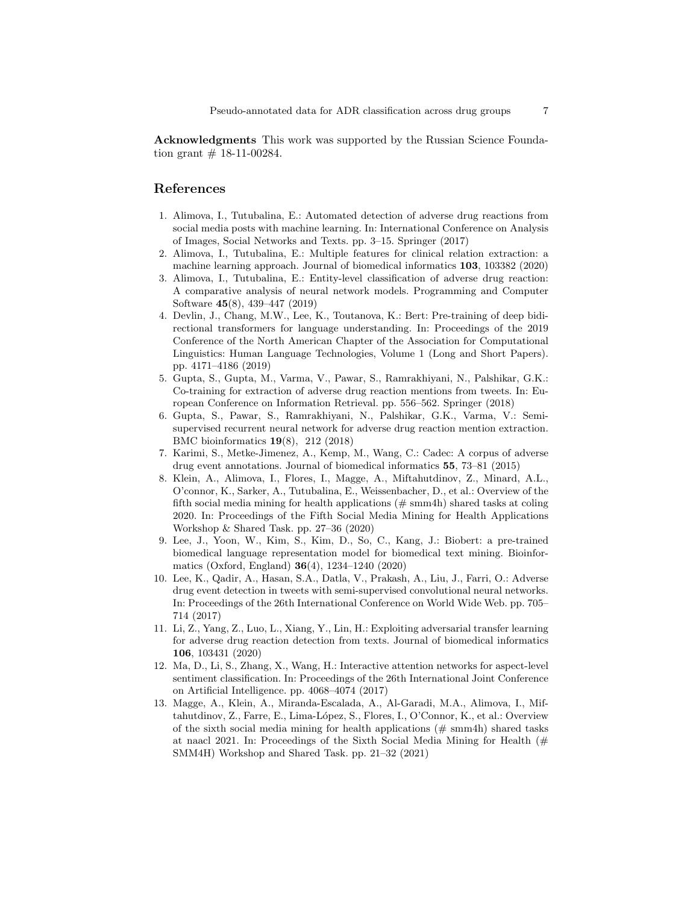Acknowledgments This work was supported by the Russian Science Foundation grant  $# 18-11-00284$ .

#### References

- <span id="page-6-8"></span>1. Alimova, I., Tutubalina, E.: Automated detection of adverse drug reactions from social media posts with machine learning. In: International Conference on Analysis of Images, Social Networks and Texts. pp. 3–15. Springer (2017)
- <span id="page-6-3"></span>2. Alimova, I., Tutubalina, E.: Multiple features for clinical relation extraction: a machine learning approach. Journal of biomedical informatics 103, 103382 (2020)
- <span id="page-6-12"></span>3. Alimova, I., Tutubalina, E.: Entity-level classification of adverse drug reaction: A comparative analysis of neural network models. Programming and Computer Software 45(8), 439–447 (2019)
- <span id="page-6-0"></span>4. Devlin, J., Chang, M.W., Lee, K., Toutanova, K.: Bert: Pre-training of deep bidirectional transformers for language understanding. In: Proceedings of the 2019 Conference of the North American Chapter of the Association for Computational Linguistics: Human Language Technologies, Volume 1 (Long and Short Papers). pp. 4171–4186 (2019)
- <span id="page-6-6"></span>5. Gupta, S., Gupta, M., Varma, V., Pawar, S., Ramrakhiyani, N., Palshikar, G.K.: Co-training for extraction of adverse drug reaction mentions from tweets. In: European Conference on Information Retrieval. pp. 556–562. Springer (2018)
- <span id="page-6-5"></span>6. Gupta, S., Pawar, S., Ramrakhiyani, N., Palshikar, G.K., Varma, V.: Semisupervised recurrent neural network for adverse drug reaction mention extraction. BMC bioinformatics 19(8), 212 (2018)
- <span id="page-6-7"></span>7. Karimi, S., Metke-Jimenez, A., Kemp, M., Wang, C.: Cadec: A corpus of adverse drug event annotations. Journal of biomedical informatics 55, 73–81 (2015)
- <span id="page-6-1"></span>8. Klein, A., Alimova, I., Flores, I., Magge, A., Miftahutdinov, Z., Minard, A.L., O'connor, K., Sarker, A., Tutubalina, E., Weissenbacher, D., et al.: Overview of the fifth social media mining for health applications  $(\# \text{ sum4h})$  shared tasks at coling 2020. In: Proceedings of the Fifth Social Media Mining for Health Applications Workshop & Shared Task. pp. 27–36 (2020)
- <span id="page-6-11"></span>9. Lee, J., Yoon, W., Kim, S., Kim, D., So, C., Kang, J.: Biobert: a pre-trained biomedical language representation model for biomedical text mining. Bioinformatics (Oxford, England) 36(4), 1234–1240 (2020)
- <span id="page-6-4"></span>10. Lee, K., Qadir, A., Hasan, S.A., Datla, V., Prakash, A., Liu, J., Farri, O.: Adverse drug event detection in tweets with semi-supervised convolutional neural networks. In: Proceedings of the 26th International Conference on World Wide Web. pp. 705– 714 (2017)
- <span id="page-6-9"></span>11. Li, Z., Yang, Z., Luo, L., Xiang, Y., Lin, H.: Exploiting adversarial transfer learning for adverse drug reaction detection from texts. Journal of biomedical informatics 106, 103431 (2020)
- <span id="page-6-10"></span>12. Ma, D., Li, S., Zhang, X., Wang, H.: Interactive attention networks for aspect-level sentiment classification. In: Proceedings of the 26th International Joint Conference on Artificial Intelligence. pp. 4068–4074 (2017)
- <span id="page-6-2"></span>13. Magge, A., Klein, A., Miranda-Escalada, A., Al-Garadi, M.A., Alimova, I., Miftahutdinov, Z., Farre, E., Lima-López, S., Flores, I., O'Connor, K., et al.: Overview of the sixth social media mining for health applications  $(\text{# sum4h})$  shared tasks at naacl 2021. In: Proceedings of the Sixth Social Media Mining for Health  $(\#$ SMM4H) Workshop and Shared Task. pp. 21–32 (2021)